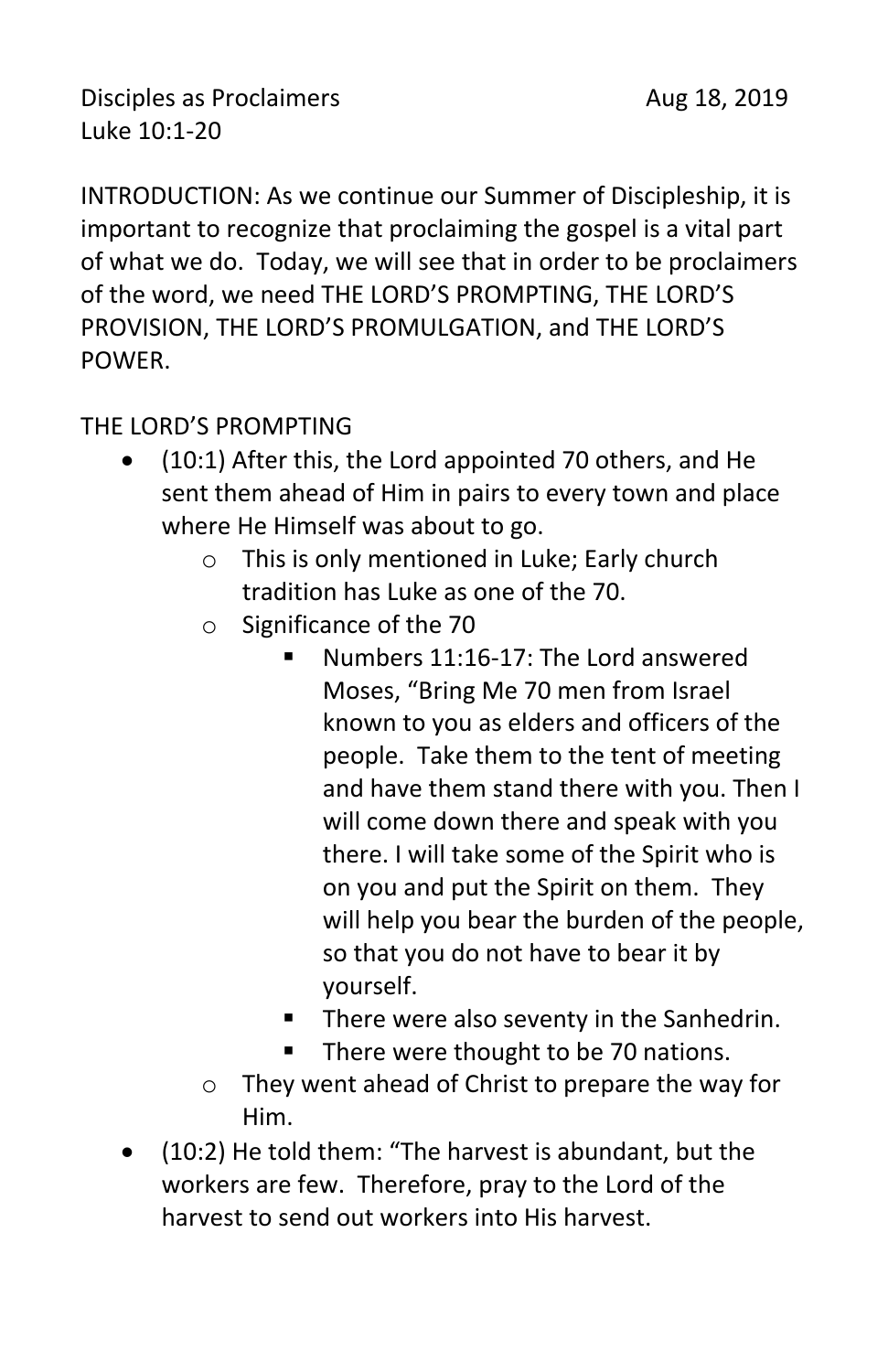Disciples as Proclaimers **Aug 18, 2019** Luke 10:1-20

INTRODUCTION: As we continue our Summer of Discipleship, it is important to recognize that proclaiming the gospel is a vital part of what we do. Today, we will see that in order to be proclaimers of the word, we need THE LORD'S PROMPTING, THE LORD'S PROVISION, THE LORD'S PROMULGATION, and THE LORD'S POWER.

### THE LORD'S PROMPTING

- (10:1) After this, the Lord appointed 70 others, and He sent them ahead of Him in pairs to every town and place where He Himself was about to go.
	- o This is only mentioned in Luke; Early church tradition has Luke as one of the 70.
	- o Significance of the 70
		- Numbers 11:16-17: The Lord answered Moses, "Bring Me 70 men from Israel known to you as elders and officers of the people. Take them to the tent of meeting and have them stand there with you. Then I will come down there and speak with you there. I will take some of the Spirit who is on you and put the Spirit on them. They will help you bear the burden of the people, so that you do not have to bear it by yourself.
		- There were also seventy in the Sanhedrin.
		- There were thought to be 70 nations.
	- o They went ahead of Christ to prepare the way for Him.
- (10:2) He told them: "The harvest is abundant, but the workers are few. Therefore, pray to the Lord of the harvest to send out workers into His harvest.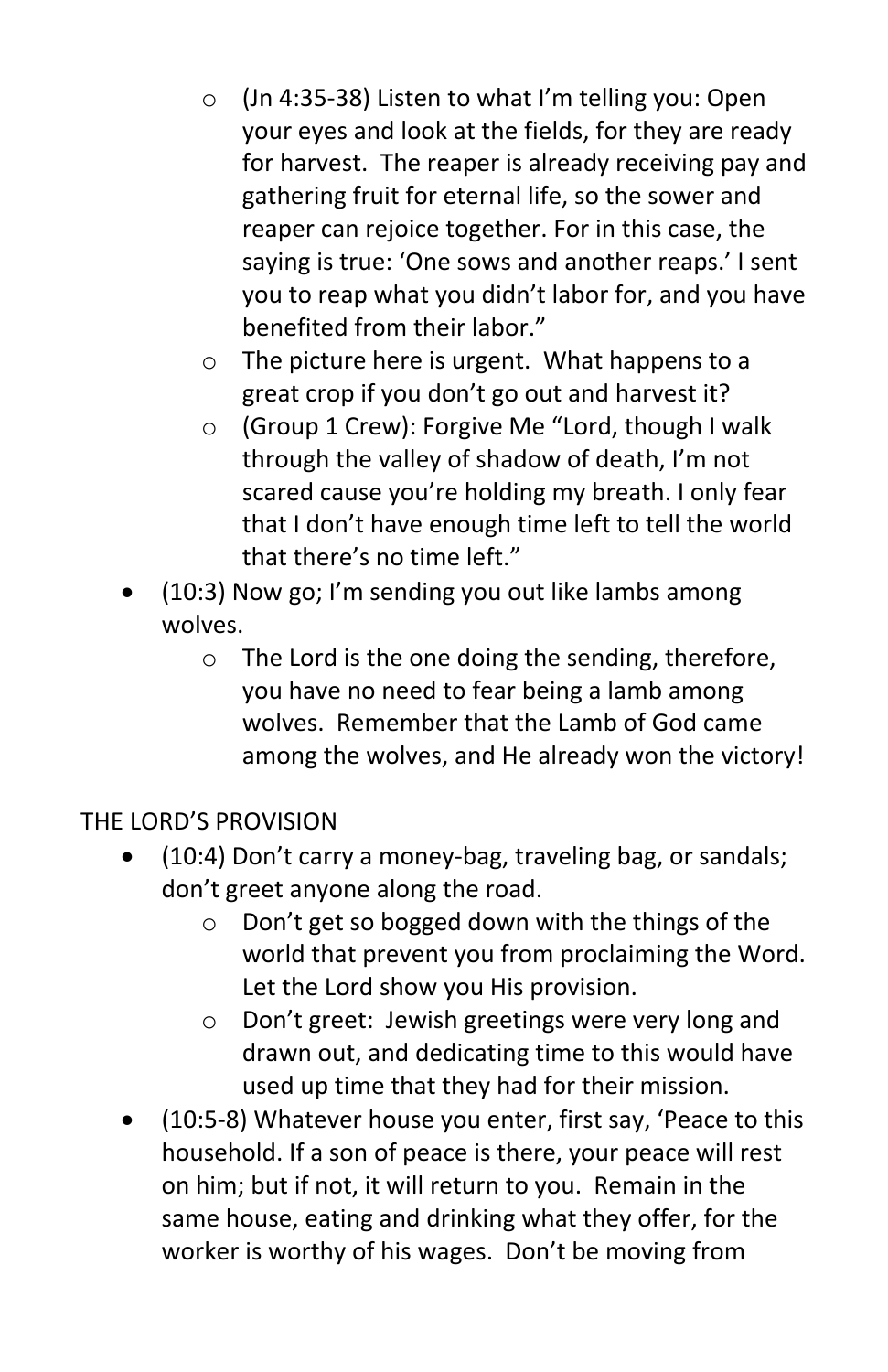- o (Jn 4:35-38) Listen to what I'm telling you: Open your eyes and look at the fields, for they are ready for harvest. The reaper is already receiving pay and gathering fruit for eternal life, so the sower and reaper can rejoice together. For in this case, the saying is true: 'One sows and another reaps.' I sent you to reap what you didn't labor for, and you have benefited from their labor."
- o The picture here is urgent. What happens to a great crop if you don't go out and harvest it?
- o (Group 1 Crew): Forgive Me "Lord, though I walk through the valley of shadow of death, I'm not scared cause you're holding my breath. I only fear that I don't have enough time left to tell the world that there's no time left."
- (10:3) Now go; I'm sending you out like lambs among wolves.
	- o The Lord is the one doing the sending, therefore, you have no need to fear being a lamb among wolves. Remember that the Lamb of God came among the wolves, and He already won the victory!

# THE LORD'S PROVISION

- (10:4) Don't carry a money-bag, traveling bag, or sandals; don't greet anyone along the road.
	- o Don't get so bogged down with the things of the world that prevent you from proclaiming the Word. Let the Lord show you His provision.
	- o Don't greet: Jewish greetings were very long and drawn out, and dedicating time to this would have used up time that they had for their mission.
- (10:5-8) Whatever house you enter, first say, 'Peace to this household. If a son of peace is there, your peace will rest on him; but if not, it will return to you. Remain in the same house, eating and drinking what they offer, for the worker is worthy of his wages. Don't be moving from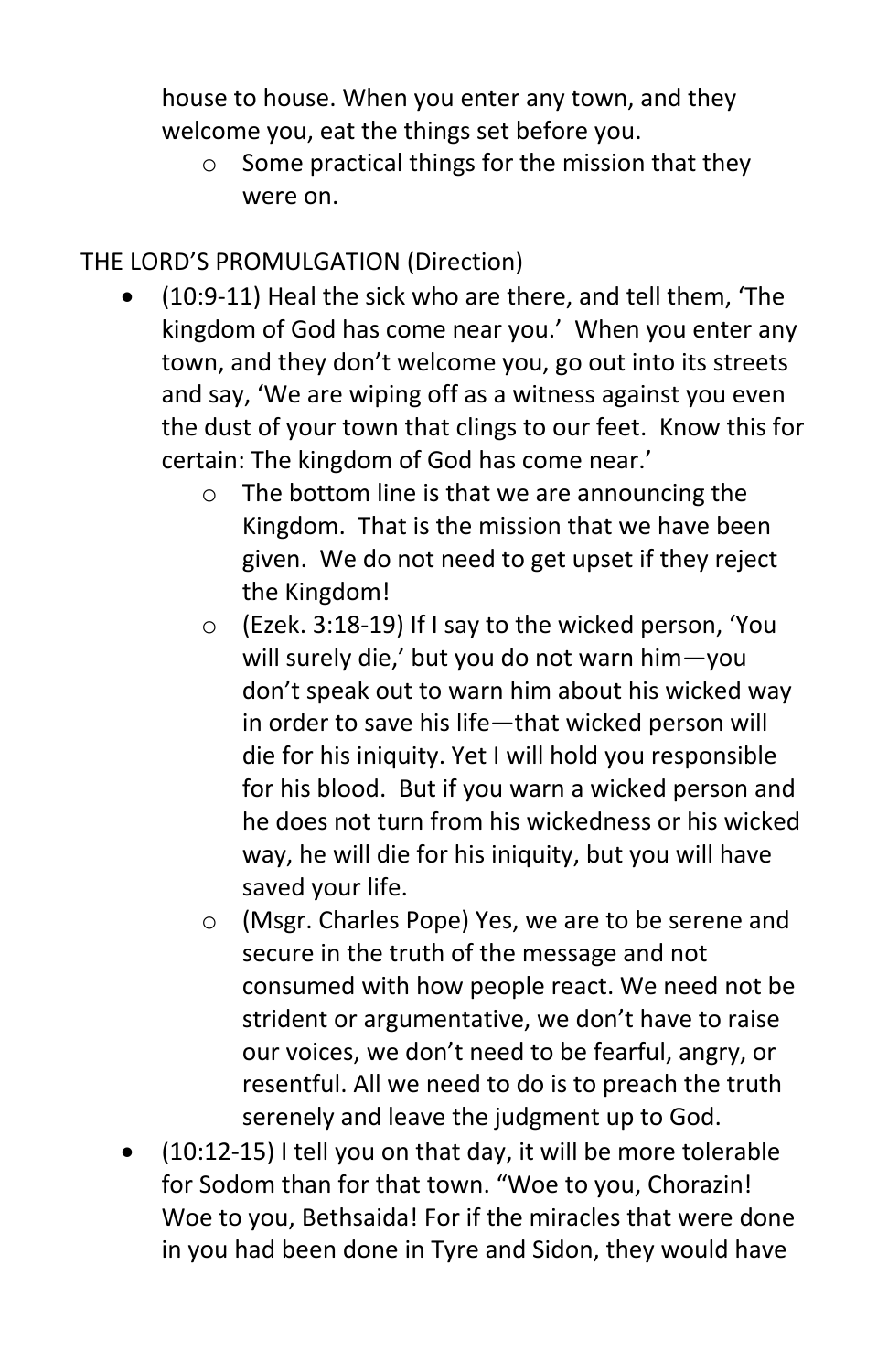house to house. When you enter any town, and they welcome you, eat the things set before you.

 $\circ$  Some practical things for the mission that they were on.

## THE LORD'S PROMULGATION (Direction)

- (10:9-11) Heal the sick who are there, and tell them, 'The kingdom of God has come near you.' When you enter any town, and they don't welcome you, go out into its streets and say, 'We are wiping off as a witness against you even the dust of your town that clings to our feet. Know this for certain: The kingdom of God has come near.'
	- o The bottom line is that we are announcing the Kingdom. That is the mission that we have been given. We do not need to get upset if they reject the Kingdom!
	- o (Ezek. 3:18-19) If I say to the wicked person, 'You will surely die,' but you do not warn him—you don't speak out to warn him about his wicked way in order to save his life—that wicked person will die for his iniquity. Yet I will hold you responsible for his blood. But if you warn a wicked person and he does not turn from his wickedness or his wicked way, he will die for his iniquity, but you will have saved your life.
	- o (Msgr. Charles Pope) Yes, we are to be serene and secure in the truth of the message and not consumed with how people react. We need not be strident or argumentative, we don't have to raise our voices, we don't need to be fearful, angry, or resentful. All we need to do is to preach the truth serenely and leave the judgment up to God.
- (10:12-15) I tell you on that day, it will be more tolerable for Sodom than for that town. "Woe to you, Chorazin! Woe to you, Bethsaida! For if the miracles that were done in you had been done in Tyre and Sidon, they would have